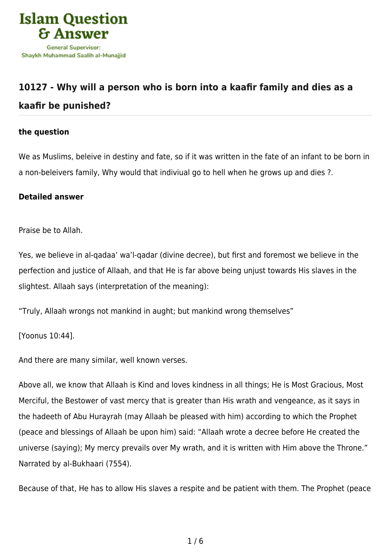

## **[10127 - Why will a person who is born into a kaafir family and dies as a](https://islamqa.com/en/answers/10127/why-will-a-person-who-is-born-into-a-kaafir-family-and-dies-as-a-kaafir-be-punished) [kaafir be punished?](https://islamqa.com/en/answers/10127/why-will-a-person-who-is-born-into-a-kaafir-family-and-dies-as-a-kaafir-be-punished)**

## **the question**

We as Muslims, beleive in destiny and fate, so if it was written in the fate of an infant to be born in a non-beleivers family, Why would that indiviual go to hell when he grows up and dies ?.

## **Detailed answer**

Praise be to Allah.

Yes, we believe in al-qadaa' wa'l-qadar (divine decree), but first and foremost we believe in the perfection and justice of Allaah, and that He is far above being unjust towards His slaves in the slightest. Allaah says (interpretation of the meaning):

"Truly, Allaah wrongs not mankind in aught; but mankind wrong themselves"

[Yoonus 10:44].

And there are many similar, well known verses.

Above all, we know that Allaah is Kind and loves kindness in all things; He is Most Gracious, Most Merciful, the Bestower of vast mercy that is greater than His wrath and vengeance, as it says in the hadeeth of Abu Hurayrah (may Allaah be pleased with him) according to which the Prophet (peace and blessings of Allaah be upon him) said: "Allaah wrote a decree before He created the universe (saying); My mercy prevails over My wrath, and it is written with Him above the Throne." Narrated by al-Bukhaari (7554).

Because of that, He has to allow His slaves a respite and be patient with them. The Prophet (peace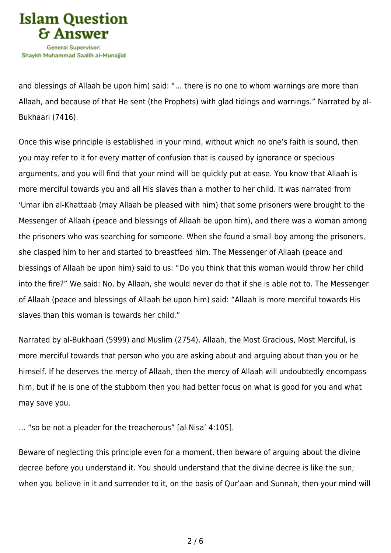

and blessings of Allaah be upon him) said: "… there is no one to whom warnings are more than Allaah, and because of that He sent (the Prophets) with glad tidings and warnings." Narrated by al-Bukhaari (7416).

Once this wise principle is established in your mind, without which no one's faith is sound, then you may refer to it for every matter of confusion that is caused by ignorance or specious arguments, and you will find that your mind will be quickly put at ease. You know that Allaah is more merciful towards you and all His slaves than a mother to her child. It was narrated from 'Umar ibn al-Khattaab (may Allaah be pleased with him) that some prisoners were brought to the Messenger of Allaah (peace and blessings of Allaah be upon him), and there was a woman among the prisoners who was searching for someone. When she found a small boy among the prisoners, she clasped him to her and started to breastfeed him. The Messenger of Allaah (peace and blessings of Allaah be upon him) said to us: "Do you think that this woman would throw her child into the fire?" We said: No, by Allaah, she would never do that if she is able not to. The Messenger of Allaah (peace and blessings of Allaah be upon him) said: "Allaah is more merciful towards His slaves than this woman is towards her child."

Narrated by al-Bukhaari (5999) and Muslim (2754). Allaah, the Most Gracious, Most Merciful, is more merciful towards that person who you are asking about and arguing about than you or he himself. If he deserves the mercy of Allaah, then the mercy of Allaah will undoubtedly encompass him, but if he is one of the stubborn then you had better focus on what is good for you and what may save you.

… "so be not a pleader for the treacherous" [al-Nisa' 4:105].

Beware of neglecting this principle even for a moment, then beware of arguing about the divine decree before you understand it. You should understand that the divine decree is like the sun; when you believe in it and surrender to it, on the basis of Qur'aan and Sunnah, then your mind will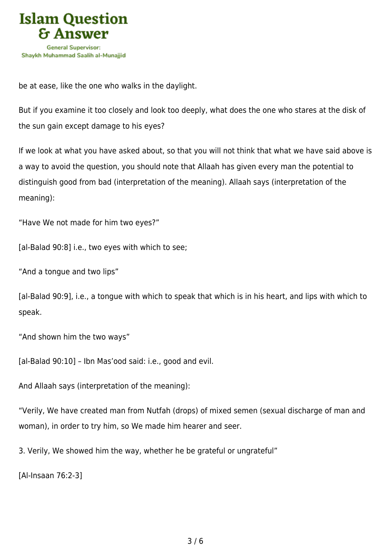

be at ease, like the one who walks in the daylight.

But if you examine it too closely and look too deeply, what does the one who stares at the disk of the sun gain except damage to his eyes?

If we look at what you have asked about, so that you will not think that what we have said above is a way to avoid the question, you should note that Allaah has given every man the potential to distinguish good from bad (interpretation of the meaning). Allaah says (interpretation of the meaning):

"Have We not made for him two eyes?"

[al-Balad 90:8] i.e., two eyes with which to see;

"And a tongue and two lips"

[al-Balad 90:9], i.e., a tongue with which to speak that which is in his heart, and lips with which to speak.

"And shown him the two ways"

[al-Balad 90:10] – Ibn Mas'ood said: i.e., good and evil.

And Allaah says (interpretation of the meaning):

"Verily, We have created man from Nutfah (drops) of mixed semen (sexual discharge of man and woman), in order to try him, so We made him hearer and seer.

3. Verily, We showed him the way, whether he be grateful or ungrateful"

[Al-Insaan 76:2-3]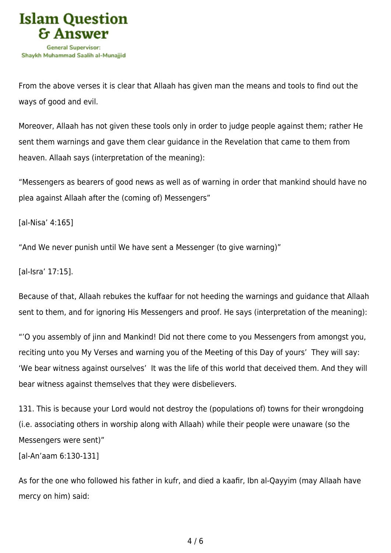

From the above verses it is clear that Allaah has given man the means and tools to find out the ways of good and evil.

Moreover, Allaah has not given these tools only in order to judge people against them; rather He sent them warnings and gave them clear guidance in the Revelation that came to them from heaven. Allaah says (interpretation of the meaning):

"Messengers as bearers of good news as well as of warning in order that mankind should have no plea against Allaah after the (coming of) Messengers"

[al-Nisa' 4:165]

"And We never punish until We have sent a Messenger (to give warning)"

[al-Isra' 17:15].

Because of that, Allaah rebukes the kuffaar for not heeding the warnings and guidance that Allaah sent to them, and for ignoring His Messengers and proof. He says (interpretation of the meaning):

"'O you assembly of jinn and Mankind! Did not there come to you Messengers from amongst you, reciting unto you My Verses and warning you of the Meeting of this Day of yours' They will say: 'We bear witness against ourselves' It was the life of this world that deceived them. And they will bear witness against themselves that they were disbelievers.

131. This is because your Lord would not destroy the (populations of) towns for their wrongdoing (i.e. associating others in worship along with Allaah) while their people were unaware (so the Messengers were sent)"

[al-An'aam 6:130-131]

As for the one who followed his father in kufr, and died a kaafir, Ibn al-Qayyim (may Allaah have mercy on him) said: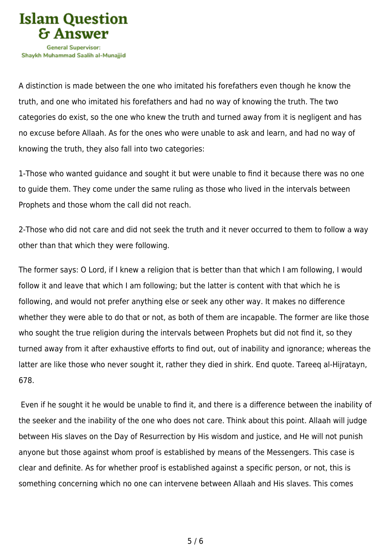

A distinction is made between the one who imitated his forefathers even though he know the truth, and one who imitated his forefathers and had no way of knowing the truth. The two categories do exist, so the one who knew the truth and turned away from it is negligent and has no excuse before Allaah. As for the ones who were unable to ask and learn, and had no way of knowing the truth, they also fall into two categories:

1-Those who wanted guidance and sought it but were unable to find it because there was no one to guide them. They come under the same ruling as those who lived in the intervals between Prophets and those whom the call did not reach.

2-Those who did not care and did not seek the truth and it never occurred to them to follow a way other than that which they were following.

The former says: O Lord, if I knew a religion that is better than that which I am following, I would follow it and leave that which I am following; but the latter is content with that which he is following, and would not prefer anything else or seek any other way. It makes no difference whether they were able to do that or not, as both of them are incapable. The former are like those who sought the true religion during the intervals between Prophets but did not find it, so they turned away from it after exhaustive efforts to find out, out of inability and ignorance; whereas the latter are like those who never sought it, rather they died in shirk. End quote. Tareeq al-Hijratayn, 678.

 Even if he sought it he would be unable to find it, and there is a difference between the inability of the seeker and the inability of the one who does not care. Think about this point. Allaah will judge between His slaves on the Day of Resurrection by His wisdom and justice, and He will not punish anyone but those against whom proof is established by means of the Messengers. This case is clear and definite. As for whether proof is established against a specific person, or not, this is something concerning which no one can intervene between Allaah and His slaves. This comes